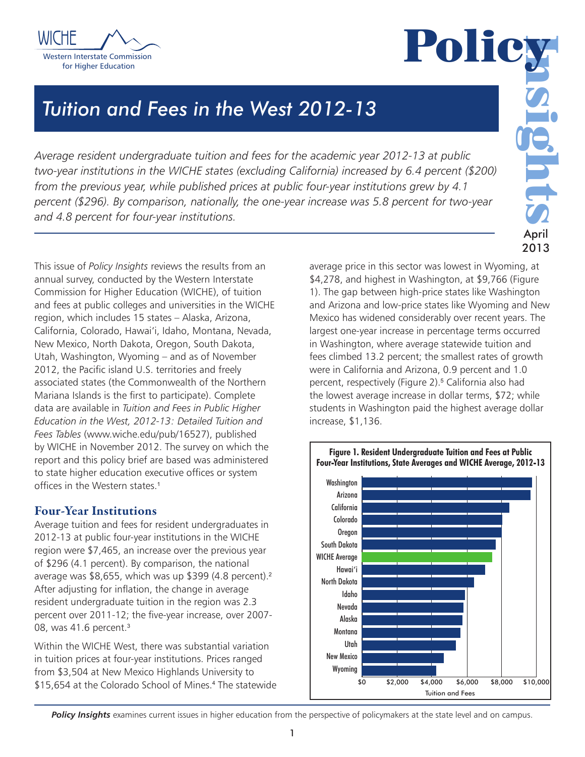



2013

# *Average resident undergraduate tuition and fees for the academic year 2012-13 at public*

*two-year institutions in the WICHE states (excluding California) increased by 6.4 percent (\$200) from the previous year, while published prices at public four-year institutions grew by 4.1 percent (\$296). By comparison, nationally, the one-year increase was 5.8 percent for two-year and 4.8 percent for four-year institutions.*

*Tuition and Fees in the West 2012-13*

This issue of *Policy Insights* reviews the results from an annual survey, conducted by the Western Interstate Commission for Higher Education (WICHE), of tuition and fees at public colleges and universities in the WICHE region, which includes 15 states – Alaska, Arizona, California, Colorado, Hawai'i, Idaho, Montana, Nevada, New Mexico, North Dakota, Oregon, South Dakota, Utah, Washington, Wyoming – and as of November 2012, the Pacific island U.S. territories and freely associated states (the Commonwealth of the Northern Mariana Islands is the first to participate). Complete data are available in *Tuition and Fees in Public Higher Education in the West, 2012-13: Detailed Tuition and Fees Tables* (www.wiche.edu/pub/16527), published by WICHE in November 2012. The survey on which the report and this policy brief are based was administered to state higher education executive offices or system offices in the Western states.<sup>1</sup>

# Four-Year Institutions

Average tuition and fees for resident undergraduates in 2012-13 at public four-year institutions in the WICHE region were \$7,465, an increase over the previous year of \$296 (4.1 percent). By comparison, the national average was \$8,655, which was up \$399 (4.8 percent).<sup>2</sup> After adjusting for inflation, the change in average resident undergraduate tuition in the region was 2.3 percent over 2011-12; the five-year increase, over 2007- 08, was 41.6 percent.<sup>3</sup>

Within the WICHE West, there was substantial variation in tuition prices at four-year institutions. Prices ranged from \$3,504 at New Mexico Highlands University to \$15,654 at the Colorado School of Mines.<sup>4</sup> The statewide average price in this sector was lowest in Wyoming, at \$4,278, and highest in Washington, at \$9,766 (Figure 1). The gap between high-price states like Washington and Arizona and low-price states like Wyoming and New Mexico has widened considerably over recent years. The largest one-year increase in percentage terms occurred in Washington, where average statewide tuition and fees climbed 13.2 percent; the smallest rates of growth were in California and Arizona, 0.9 percent and 1.0 percent, respectively (Figure 2).<sup>5</sup> California also had the lowest average increase in dollar terms, \$72; while students in Washington paid the highest average dollar increase, \$1,136.





**Policy Insights** examines current issues in higher education from the perspective of policymakers at the state level and on campus.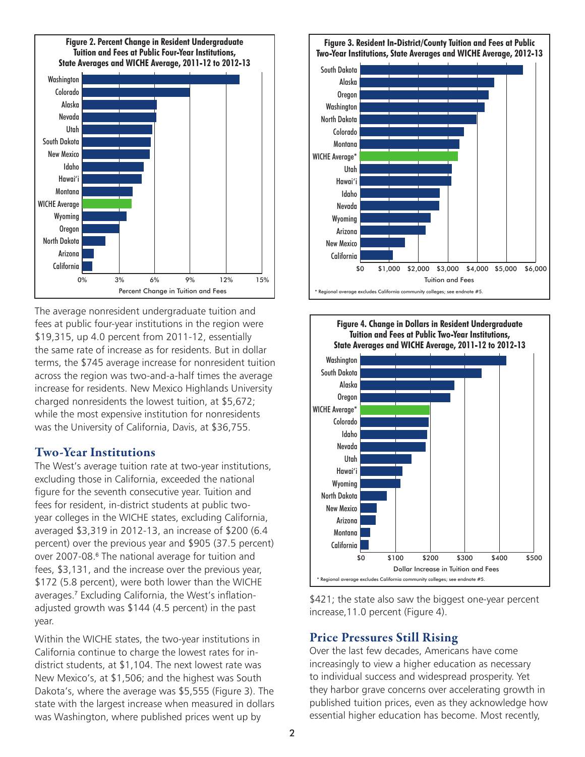

The average nonresident undergraduate tuition and fees at public four-year institutions in the region were \$19,315, up 4.0 percent from 2011-12, essentially the same rate of increase as for residents. But in dollar terms, the \$745 average increase for nonresident tuition across the region was two-and-a-half times the average increase for residents. New Mexico Highlands University charged nonresidents the lowest tuition, at \$5,672; while the most expensive institution for nonresidents was the University of California, Davis, at \$36,755.

#### Two-Year Institutions

The West's average tuition rate at two-year institutions, excluding those in California, exceeded the national figure for the seventh consecutive year. Tuition and fees for resident, in-district students at public twoyear colleges in the WICHE states, excluding California, averaged \$3,319 in 2012-13, an increase of \$200 (6.4 percent) over the previous year and \$905 (37.5 percent) over 2007-08.<sup>6</sup> The national average for tuition and fees, \$3,131, and the increase over the previous year, \$172 (5.8 percent), were both lower than the WICHE averages.<sup>7</sup> Excluding California, the West's inflationadjusted growth was \$144 (4.5 percent) in the past year.

Within the WICHE states, the two-year institutions in California continue to charge the lowest rates for indistrict students, at \$1,104. The next lowest rate was New Mexico's, at \$1,506; and the highest was South Dakota's, where the average was \$5,555 (Figure 3). The state with the largest increase when measured in dollars was Washington, where published prices went up by





\$421; the state also saw the biggest one-year percent increase,11.0 percent (Figure 4).

## Price Pressures Still Rising

Over the last few decades, Americans have come increasingly to view a higher education as necessary to individual success and widespread prosperity. Yet they harbor grave concerns over accelerating growth in published tuition prices, even as they acknowledge how essential higher education has become. Most recently,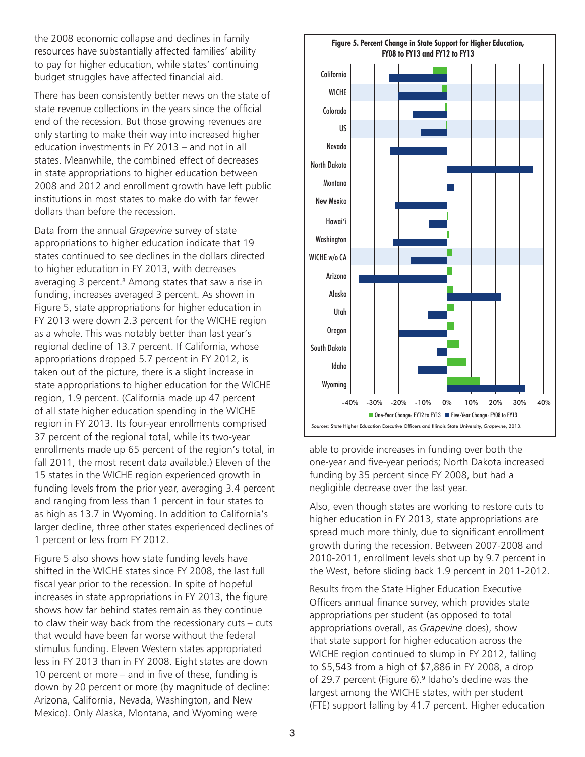the 2008 economic collapse and declines in family resources have substantially affected families' ability to pay for higher education, while states' continuing budget struggles have affected financial aid.

There has been consistently better news on the state of state revenue collections in the years since the official end of the recession. But those growing revenues are only starting to make their way into increased higher education investments in FY 2013 – and not in all states. Meanwhile, the combined effect of decreases in state appropriations to higher education between 2008 and 2012 and enrollment growth have left public institutions in most states to make do with far fewer dollars than before the recession.

Data from the annual *Grapevine* survey of state appropriations to higher education indicate that 19 states continued to see declines in the dollars directed to higher education in FY 2013, with decreases averaging 3 percent.<sup>8</sup> Among states that saw a rise in funding, increases averaged 3 percent. As shown in Figure 5, state appropriations for higher education in FY 2013 were down 2.3 percent for the WICHE region as a whole. This was notably better than last year's regional decline of 13.7 percent. If California, whose appropriations dropped 5.7 percent in FY 2012, is taken out of the picture, there is a slight increase in state appropriations to higher education for the WICHE region, 1.9 percent. (California made up 47 percent of all state higher education spending in the WICHE region in FY 2013. Its four-year enrollments comprised 37 percent of the regional total, while its two-year enrollments made up 65 percent of the region's total, in fall 2011, the most recent data available.) Eleven of the 15 states in the WICHE region experienced growth in funding levels from the prior year, averaging 3.4 percent and ranging from less than 1 percent in four states to as high as 13.7 in Wyoming. In addition to California's larger decline, three other states experienced declines of 1 percent or less from FY 2012.

Figure 5 also shows how state funding levels have shifted in the WICHE states since FY 2008, the last full fiscal year prior to the recession. In spite of hopeful increases in state appropriations in FY 2013, the figure shows how far behind states remain as they continue to claw their way back from the recessionary cuts – cuts that would have been far worse without the federal stimulus funding. Eleven Western states appropriated less in FY 2013 than in FY 2008. Eight states are down 10 percent or more – and in five of these, funding is down by 20 percent or more (by magnitude of decline: Arizona, California, Nevada, Washington, and New Mexico). Only Alaska, Montana, and Wyoming were



able to provide increases in funding over both the one-year and five-year periods; North Dakota increased funding by 35 percent since FY 2008, but had a negligible decrease over the last year.

Also, even though states are working to restore cuts to higher education in FY 2013, state appropriations are spread much more thinly, due to significant enrollment growth during the recession. Between 2007-2008 and 2010-2011, enrollment levels shot up by 9.7 percent in the West, before sliding back 1.9 percent in 2011-2012.

Results from the State Higher Education Executive Officers annual finance survey, which provides state appropriations per student (as opposed to total appropriations overall, as *Grapevine* does), show that state support for higher education across the WICHE region continued to slump in FY 2012, falling to \$5,543 from a high of \$7,886 in FY 2008, a drop of 29.7 percent (Figure 6).<sup>9</sup> Idaho's decline was the largest among the WICHE states, with per student (FTE) support falling by 41.7 percent. Higher education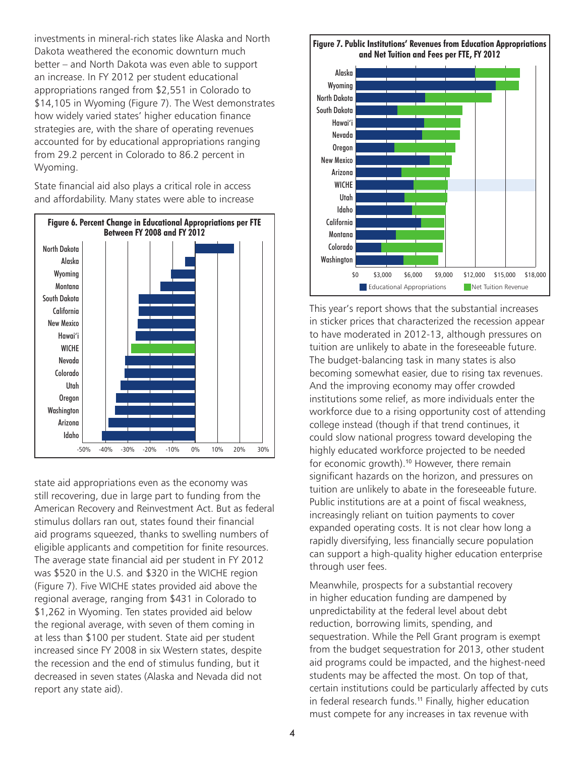investments in mineral-rich states like Alaska and North Dakota weathered the economic downturn much better – and North Dakota was even able to support an increase. In FY 2012 per student educational appropriations ranged from \$2,551 in Colorado to \$14,105 in Wyoming (Figure 7). The West demonstrates how widely varied states' higher education finance strategies are, with the share of operating revenues accounted for by educational appropriations ranging from 29.2 percent in Colorado to 86.2 percent in Wyoming.

State financial aid also plays a critical role in access and affordability. Many states were able to increase



state aid appropriations even as the economy was still recovering, due in large part to funding from the American Recovery and Reinvestment Act. But as federal stimulus dollars ran out, states found their financial aid programs squeezed, thanks to swelling numbers of eligible applicants and competition for finite resources. The average state financial aid per student in FY 2012 was \$520 in the U.S. and \$320 in the WICHE region (Figure 7). Five WICHE states provided aid above the regional average, ranging from \$431 in Colorado to \$1,262 in Wyoming. Ten states provided aid below the regional average, with seven of them coming in at less than \$100 per student. State aid per student increased since FY 2008 in six Western states, despite the recession and the end of stimulus funding, but it decreased in seven states (Alaska and Nevada did not report any state aid).



This year's report shows that the substantial increases in sticker prices that characterized the recession appear to have moderated in 2012-13, although pressures on tuition are unlikely to abate in the foreseeable future. The budget-balancing task in many states is also becoming somewhat easier, due to rising tax revenues. And the improving economy may offer crowded institutions some relief, as more individuals enter the workforce due to a rising opportunity cost of attending college instead (though if that trend continues, it could slow national progress toward developing the highly educated workforce projected to be needed for economic growth).<sup>10</sup> However, there remain significant hazards on the horizon, and pressures on tuition are unlikely to abate in the foreseeable future. Public institutions are at a point of fiscal weakness, increasingly reliant on tuition payments to cover expanded operating costs. It is not clear how long a rapidly diversifying, less financially secure population can support a high-quality higher education enterprise through user fees.

Meanwhile, prospects for a substantial recovery in higher education funding are dampened by unpredictability at the federal level about debt reduction, borrowing limits, spending, and sequestration. While the Pell Grant program is exempt from the budget sequestration for 2013, other student aid programs could be impacted, and the highest-need students may be affected the most. On top of that, certain institutions could be particularly affected by cuts in federal research funds.<sup>11</sup> Finally, higher education must compete for any increases in tax revenue with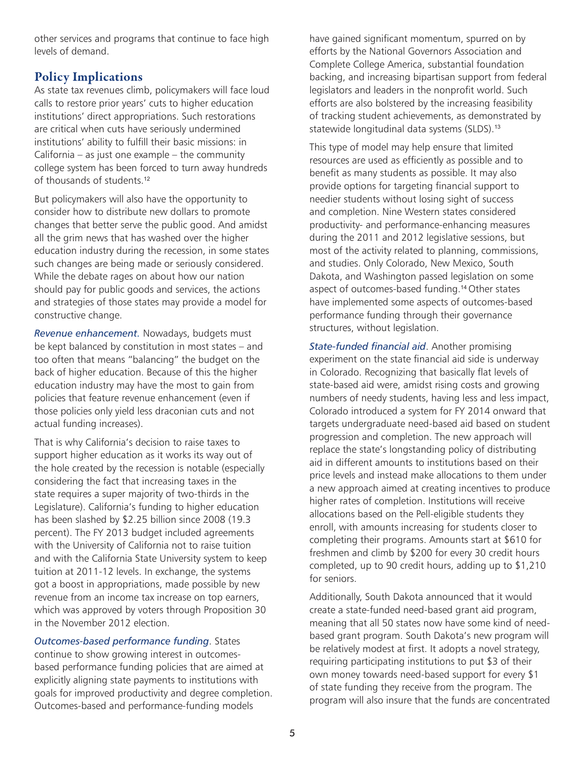other services and programs that continue to face high levels of demand.

# Policy Implications

As state tax revenues climb, policymakers will face loud calls to restore prior years' cuts to higher education institutions' direct appropriations. Such restorations are critical when cuts have seriously undermined institutions' ability to fulfill their basic missions: in California – as just one example – the community college system has been forced to turn away hundreds of thousands of students.<sup>12</sup>

But policymakers will also have the opportunity to consider how to distribute new dollars to promote changes that better serve the public good. And amidst all the grim news that has washed over the higher education industry during the recession, in some states such changes are being made or seriously considered. While the debate rages on about how our nation should pay for public goods and services, the actions and strategies of those states may provide a model for constructive change.

*Revenue enhancement.* Nowadays, budgets must be kept balanced by constitution in most states – and too often that means "balancing" the budget on the back of higher education. Because of this the higher education industry may have the most to gain from policies that feature revenue enhancement (even if those policies only yield less draconian cuts and not actual funding increases).

That is why California's decision to raise taxes to support higher education as it works its way out of the hole created by the recession is notable (especially considering the fact that increasing taxes in the state requires a super majority of two-thirds in the Legislature). California's funding to higher education has been slashed by \$2.25 billion since 2008 (19.3 percent). The FY 2013 budget included agreements with the University of California not to raise tuition and with the California State University system to keep tuition at 2011-12 levels. In exchange, the systems got a boost in appropriations, made possible by new revenue from an income tax increase on top earners, which was approved by voters through Proposition 30 in the November 2012 election.

*Outcomes-based performance funding*. States continue to show growing interest in outcomesbased performance funding policies that are aimed at explicitly aligning state payments to institutions with goals for improved productivity and degree completion. Outcomes-based and performance-funding models

have gained significant momentum, spurred on by efforts by the National Governors Association and Complete College America, substantial foundation backing, and increasing bipartisan support from federal legislators and leaders in the nonprofit world. Such efforts are also bolstered by the increasing feasibility of tracking student achievements, as demonstrated by statewide longitudinal data systems (SLDS).<sup>13</sup>

This type of model may help ensure that limited resources are used as efficiently as possible and to benefit as many students as possible. It may also provide options for targeting financial support to needier students without losing sight of success and completion. Nine Western states considered productivity- and performance-enhancing measures during the 2011 and 2012 legislative sessions, but most of the activity related to planning, commissions, and studies. Only Colorado, New Mexico, South Dakota, and Washington passed legislation on some aspect of outcomes-based funding.<sup>14</sup> Other states have implemented some aspects of outcomes-based performance funding through their governance structures, without legislation.

*State-funded financial aid*. Another promising experiment on the state financial aid side is underway in Colorado. Recognizing that basically flat levels of state-based aid were, amidst rising costs and growing numbers of needy students, having less and less impact, Colorado introduced a system for FY 2014 onward that targets undergraduate need-based aid based on student progression and completion. The new approach will replace the state's longstanding policy of distributing aid in different amounts to institutions based on their price levels and instead make allocations to them under a new approach aimed at creating incentives to produce higher rates of completion. Institutions will receive allocations based on the Pell-eligible students they enroll, with amounts increasing for students closer to completing their programs. Amounts start at \$610 for freshmen and climb by \$200 for every 30 credit hours completed, up to 90 credit hours, adding up to \$1,210 for seniors.

Additionally, South Dakota announced that it would create a state-funded need-based grant aid program, meaning that all 50 states now have some kind of needbased grant program. South Dakota's new program will be relatively modest at first. It adopts a novel strategy, requiring participating institutions to put \$3 of their own money towards need-based support for every \$1 of state funding they receive from the program. The program will also insure that the funds are concentrated